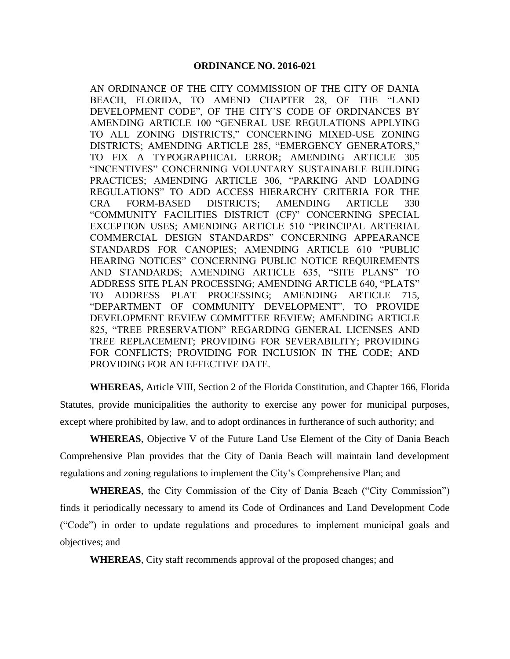AN ORDINANCE OF THE CITY COMMISSION OF THE CITY OF DANIA BEACH, FLORIDA, TO AMEND CHAPTER 28, OF THE "LAND DEVELOPMENT CODE", OF THE CITY'S CODE OF ORDINANCES BY AMENDING ARTICLE 100 "GENERAL USE REGULATIONS APPLYING TO ALL ZONING DISTRICTS," CONCERNING MIXED-USE ZONING DISTRICTS; AMENDING ARTICLE 285, "EMERGENCY GENERATORS," TO FIX A TYPOGRAPHICAL ERROR; AMENDING ARTICLE 305 "INCENTIVES" CONCERNING VOLUNTARY SUSTAINABLE BUILDING PRACTICES; AMENDING ARTICLE 306, "PARKING AND LOADING REGULATIONS" TO ADD ACCESS HIERARCHY CRITERIA FOR THE CRA FORM-BASED DISTRICTS; AMENDING ARTICLE 330 "COMMUNITY FACILITIES DISTRICT (CF)" CONCERNING SPECIAL EXCEPTION USES; AMENDING ARTICLE 510 "PRINCIPAL ARTERIAL COMMERCIAL DESIGN STANDARDS" CONCERNING APPEARANCE STANDARDS FOR CANOPIES; AMENDING ARTICLE 610 "PUBLIC HEARING NOTICES" CONCERNING PUBLIC NOTICE REQUIREMENTS AND STANDARDS; AMENDING ARTICLE 635, "SITE PLANS" TO ADDRESS SITE PLAN PROCESSING; AMENDING ARTICLE 640, "PLATS" TO ADDRESS PLAT PROCESSING; AMENDING ARTICLE 715, "DEPARTMENT OF COMMUNITY DEVELOPMENT", TO PROVIDE DEVELOPMENT REVIEW COMMITTEE REVIEW; AMENDING ARTICLE 825, "TREE PRESERVATION" REGARDING GENERAL LICENSES AND TREE REPLACEMENT; PROVIDING FOR SEVERABILITY; PROVIDING FOR CONFLICTS; PROVIDING FOR INCLUSION IN THE CODE; AND PROVIDING FOR AN EFFECTIVE DATE.

**WHEREAS**, Article VIII, Section 2 of the Florida Constitution, and Chapter 166, Florida Statutes, provide municipalities the authority to exercise any power for municipal purposes, except where prohibited by law, and to adopt ordinances in furtherance of such authority; and

**WHEREAS**, Objective V of the Future Land Use Element of the City of Dania Beach Comprehensive Plan provides that the City of Dania Beach will maintain land development regulations and zoning regulations to implement the City's Comprehensive Plan; and

**WHEREAS**, the City Commission of the City of Dania Beach ("City Commission") finds it periodically necessary to amend its Code of Ordinances and Land Development Code ("Code") in order to update regulations and procedures to implement municipal goals and objectives; and

**WHEREAS**, City staff recommends approval of the proposed changes; and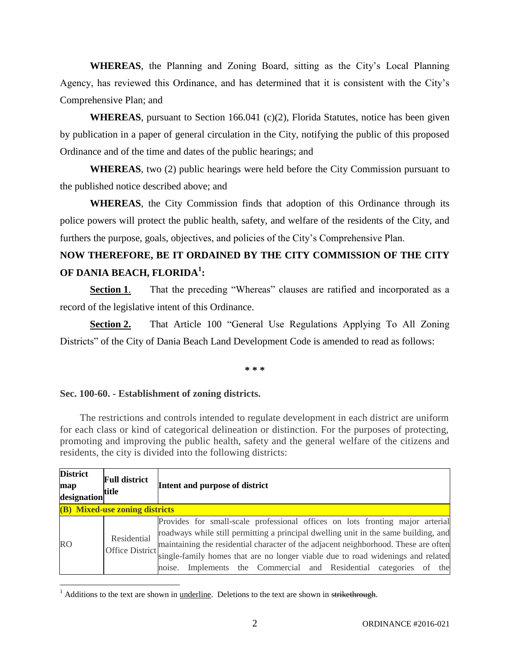**WHEREAS**, the Planning and Zoning Board, sitting as the City's Local Planning Agency, has reviewed this Ordinance, and has determined that it is consistent with the City's Comprehensive Plan; and

**WHEREAS**, pursuant to Section 166.041 (c)(2), Florida Statutes, notice has been given by publication in a paper of general circulation in the City, notifying the public of this proposed Ordinance and of the time and dates of the public hearings; and

**WHEREAS**, two (2) public hearings were held before the City Commission pursuant to the published notice described above; and

**WHEREAS**, the City Commission finds that adoption of this Ordinance through its police powers will protect the public health, safety, and welfare of the residents of the City, and furthers the purpose, goals, objectives, and policies of the City's Comprehensive Plan.

# **NOW THEREFORE, BE IT ORDAINED BY THE CITY COMMISSION OF THE CITY OF DANIA BEACH, FLORIDA<sup>1</sup> :**

**Section 1.** That the preceding "Whereas" clauses are ratified and incorporated as a record of the legislative intent of this Ordinance.

**Section 2.** That Article 100 "General Use Regulations Applying To All Zoning Districts" of the City of Dania Beach Land Development Code is amended to read as follows:

**\* \* \***

#### **Sec. 100-60. - Establishment of zoning districts.**

 $\overline{\phantom{a}}$ 

The restrictions and controls intended to regulate development in each district are uniform for each class or kind of categorical delineation or distinction. For the purposes of protecting, promoting and improving the public health, safety and the general welfare of the citizens and residents, the city is divided into the following districts:

| <b>District</b><br>map<br>designation | <b>Full district</b><br>title | Intent and purpose of district                                                                                                                                                                                                                                                                                                                                                                                                          |  |  |  |  |
|---------------------------------------|-------------------------------|-----------------------------------------------------------------------------------------------------------------------------------------------------------------------------------------------------------------------------------------------------------------------------------------------------------------------------------------------------------------------------------------------------------------------------------------|--|--|--|--|
| (B) Mixed-use zoning districts        |                               |                                                                                                                                                                                                                                                                                                                                                                                                                                         |  |  |  |  |
| <b>RO</b>                             | Residential                   | Provides for small-scale professional offices on lots fronting major arterial<br>roadways while still permitting a principal dwelling unit in the same building, and<br>Office District maintaining the residential character of the adjacent neighborhood. These are often<br>single-family homes that are no longer viable due to road widenings and related<br>Implements the Commercial and Residential categories of the<br>noise. |  |  |  |  |

 $1$  Additions to the text are shown in <u>underline</u>. Deletions to the text are shown in strikethrough.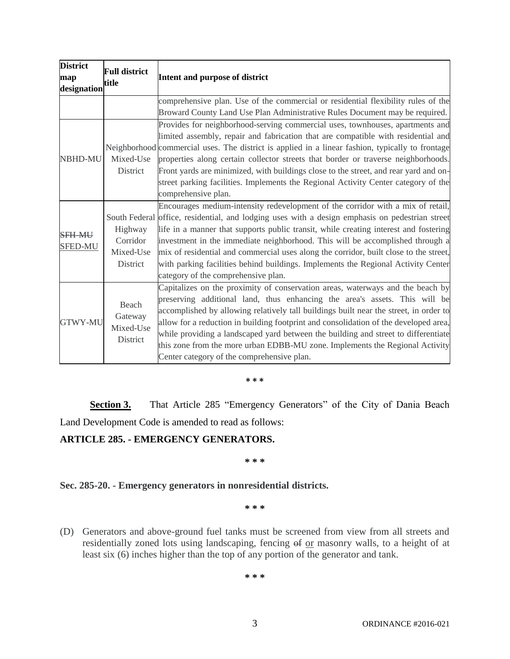| <b>District</b><br><b>Full district</b><br>map<br>title<br>designation |                                              | Intent and purpose of district                                                                                                                                                                                                                                                                                                                                                                                                                                                                                                                                                   |  |  |  |
|------------------------------------------------------------------------|----------------------------------------------|----------------------------------------------------------------------------------------------------------------------------------------------------------------------------------------------------------------------------------------------------------------------------------------------------------------------------------------------------------------------------------------------------------------------------------------------------------------------------------------------------------------------------------------------------------------------------------|--|--|--|
|                                                                        |                                              | comprehensive plan. Use of the commercial or residential flexibility rules of the<br>Broward County Land Use Plan Administrative Rules Document may be required.                                                                                                                                                                                                                                                                                                                                                                                                                 |  |  |  |
| <b>NBHD-MU</b><br>Mixed-Use<br>District                                |                                              | Provides for neighborhood-serving commercial uses, townhouses, apartments and<br>limited assembly, repair and fabrication that are compatible with residential and<br>Neighborhood commercial uses. The district is applied in a linear fashion, typically to frontage<br>properties along certain collector streets that border or traverse neighborhoods.<br>Front yards are minimized, with buildings close to the street, and rear yard and on-<br>street parking facilities. Implements the Regional Activity Center category of the<br>comprehensive plan.                 |  |  |  |
| <b>SFH MU</b><br><b>SFED-MU</b>                                        | Highway<br>Corridor<br>Mixed-Use<br>District | Encourages medium-intensity redevelopment of the corridor with a mix of retail,<br>South Federal office, residential, and lodging uses with a design emphasis on pedestrian street<br>life in a manner that supports public transit, while creating interest and fostering<br>investment in the immediate neighborhood. This will be accomplished through a<br>mix of residential and commercial uses along the corridor, built close to the street,<br>with parking facilities behind buildings. Implements the Regional Activity Center<br>category of the comprehensive plan. |  |  |  |
| <b>GTWY-MU</b>                                                         | Beach<br>Gateway<br>Mixed-Use<br>District    | Capitalizes on the proximity of conservation areas, waterways and the beach by<br>preserving additional land, thus enhancing the area's assets. This will be<br>accomplished by allowing relatively tall buildings built near the street, in order to<br>allow for a reduction in building footprint and consolidation of the developed area,<br>while providing a landscaped yard between the building and street to differentiate<br>this zone from the more urban EDBB-MU zone. Implements the Regional Activity<br>Center category of the comprehensive plan.                |  |  |  |

#### **\* \* \***

Section 3. That Article 285 "Emergency Generators" of the City of Dania Beach Land Development Code is amended to read as follows:

# **ARTICLE 285. - EMERGENCY GENERATORS.**

#### **\* \* \***

**Sec. 285-20. - Emergency generators in nonresidential districts.**

**\* \* \***

(D) Generators and above-ground fuel tanks must be screened from view from all streets and residentially zoned lots using landscaping, fencing of or masonry walls, to a height of at least six (6) inches higher than the top of any portion of the generator and tank.

**\* \* \***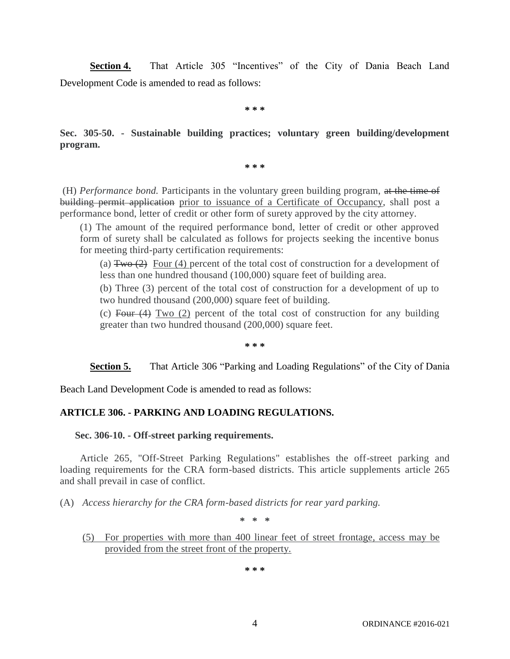**Section 4.** That Article 305 "Incentives" of the City of Dania Beach Land Development Code is amended to read as follows:

**\* \* \***

**Sec. 305-50. - Sustainable building practices; voluntary green building/development program.**

**\* \* \***

(H) *Performance bond.* Participants in the voluntary green building program, at the time of building permit application prior to issuance of a Certificate of Occupancy, shall post a performance bond, letter of credit or other form of surety approved by the city attorney.

(1) The amount of the required performance bond, letter of credit or other approved form of surety shall be calculated as follows for projects seeking the incentive bonus for meeting third-party certification requirements:

(a)  $Tw_0(2)$  Four (4) percent of the total cost of construction for a development of less than one hundred thousand (100,000) square feet of building area.

(b) Three (3) percent of the total cost of construction for a development of up to two hundred thousand (200,000) square feet of building.

(c) Four  $(4)$  Two  $(2)$  percent of the total cost of construction for any building greater than two hundred thousand (200,000) square feet.

**\* \* \***

**Section 5.** That Article 306 "Parking and Loading Regulations" of the City of Dania

Beach Land Development Code is amended to read as follows:

### **ARTICLE 306. - PARKING AND LOADING REGULATIONS.**

#### **Sec. 306-10. - Off-street parking requirements.**

Article 265, "Off-Street Parking Regulations" establishes the off-street parking and loading requirements for the CRA form-based districts. This article supplements article 265 and shall prevail in case of conflict.

(A) *Access hierarchy for the CRA form-based districts for rear yard parking.*

**\* \* \***

(5) For properties with more than 400 linear feet of street frontage, access may be provided from the street front of the property.

**\* \* \***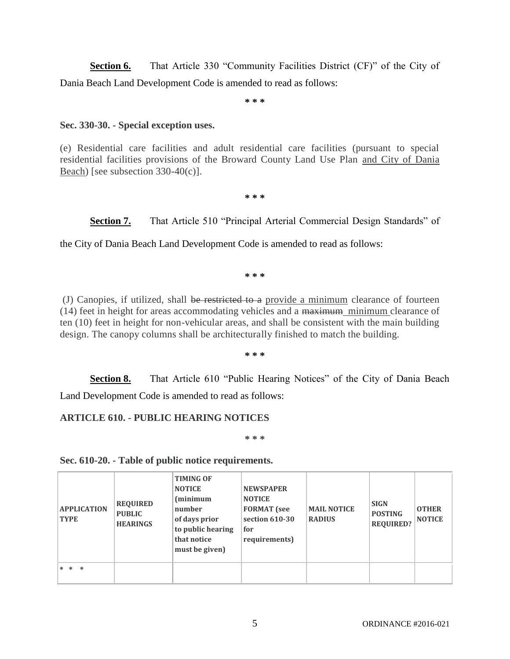**Section 6.** That Article 330 "Community Facilities District (CF)" of the City of Dania Beach Land Development Code is amended to read as follows:

**\* \* \***

### **Sec. 330-30. - Special exception uses.**

(e) Residential care facilities and adult residential care facilities (pursuant to special residential facilities provisions of the Broward County Land Use Plan and City of Dania Beach) [see subsection 330-40(c)].

**\* \* \***

Section 7. That Article 510 "Principal Arterial Commercial Design Standards" of

the City of Dania Beach Land Development Code is amended to read as follows:

**\* \* \***

(J) Canopies, if utilized, shall be restricted to a provide a minimum clearance of fourteen  $(14)$  feet in height for areas accommodating vehicles and a  $\frac{1}{2}$  maximum minimum clearance of ten (10) feet in height for non-vehicular areas, and shall be consistent with the main building design. The canopy columns shall be architecturally finished to match the building.

**\* \* \***

**Section 8.** That Article 610 "Public Hearing Notices" of the City of Dania Beach Land Development Code is amended to read as follows:

# **ARTICLE 610. - PUBLIC HEARING NOTICES**

**\* \* \***

### **Sec. 610-20. - Table of public notice requirements.**

| <b>APPLICATION</b><br><b>TYPE</b> | <b>REQUIRED</b><br><b>PUBLIC</b><br><b>HEARINGS</b> | <b>TIMING OF</b><br><b>NOTICE</b><br>(minimum<br>number<br>of days prior<br>to public hearing<br>that notice<br>must be given) | <b>NEWSPAPER</b><br><b>NOTICE</b><br><b>FORMAT</b> (see<br>section 610-30<br>for<br>requirements) | <b>MAIL NOTICE</b><br><b>RADIUS</b> | <b>SIGN</b><br><b>POSTING</b><br><b>REQUIRED?</b> | <b>OTHER</b><br><b>NOTICE</b> |
|-----------------------------------|-----------------------------------------------------|--------------------------------------------------------------------------------------------------------------------------------|---------------------------------------------------------------------------------------------------|-------------------------------------|---------------------------------------------------|-------------------------------|
| * * *                             |                                                     |                                                                                                                                |                                                                                                   |                                     |                                                   |                               |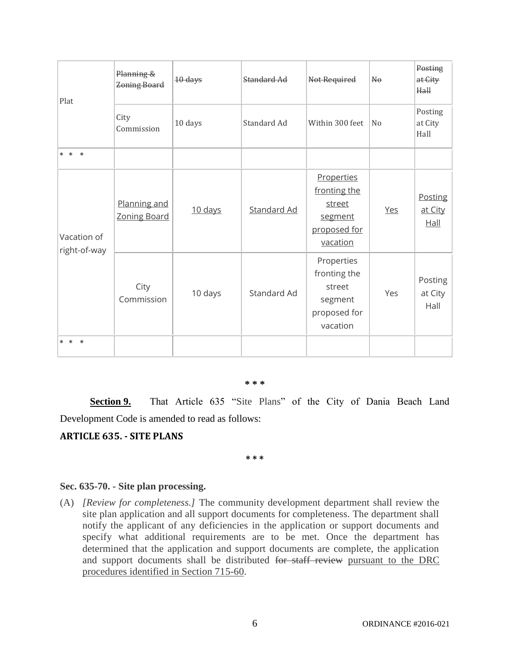| Plat                        | Planning &<br>Zoning Board          | 10 days | Standard Ad        | Not Required                                                                | $\mathbb{H}^{\Theta}$ | Posting<br>at City<br>Hall |
|-----------------------------|-------------------------------------|---------|--------------------|-----------------------------------------------------------------------------|-----------------------|----------------------------|
|                             | City<br>Commission                  | 10 days | Standard Ad        | Within 300 feet                                                             | N <sub>o</sub>        | Posting<br>at City<br>Hall |
| * * *                       |                                     |         |                    |                                                                             |                       |                            |
| Vacation of<br>right-of-way | Planning and<br><b>Zoning Board</b> | 10 days | <b>Standard Ad</b> | Properties<br>fronting the<br>street<br>segment<br>proposed for<br>vacation | Yes                   | Posting<br>at City<br>Hall |
|                             | City<br>Commission                  | 10 days | Standard Ad        | Properties<br>fronting the<br>street<br>segment<br>proposed for<br>vacation | Yes                   | Posting<br>at City<br>Hall |
| $* *$<br>$\ast$             |                                     |         |                    |                                                                             |                       |                            |

#### **\* \* \***

**Section 9.** That Article 635 "Site Plans" of the City of Dania Beach Land Development Code is amended to read as follows:

### **ARTICLE 635. - SITE PLANS**

**\* \* \***

#### **Sec. 635-70. - Site plan processing.**

(A) *[Review for completeness.]* The community development department shall review the site plan application and all support documents for completeness. The department shall notify the applicant of any deficiencies in the application or support documents and specify what additional requirements are to be met. Once the department has determined that the application and support documents are complete, the application and support documents shall be distributed for staff review pursuant to the DRC procedures identified in Section 715-60.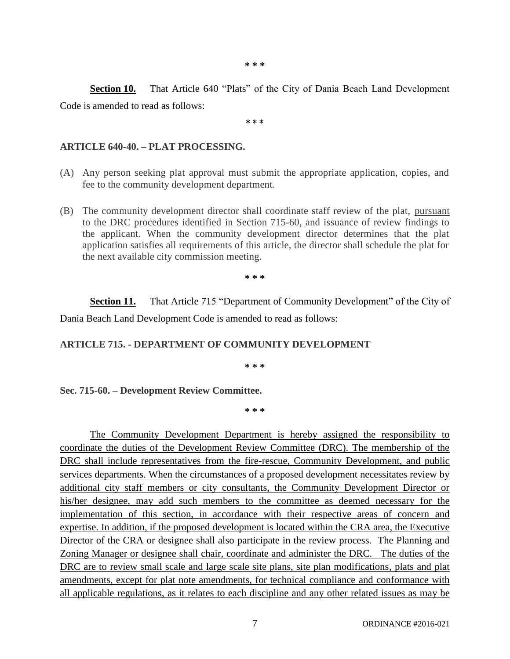**\* \* \***

**Section 10.** That Article 640 "Plats" of the City of Dania Beach Land Development Code is amended to read as follows:

**\* \* \***

### **ARTICLE 640-40. – PLAT PROCESSING.**

- (A) Any person seeking plat approval must submit the appropriate application, copies, and fee to the community development department.
- (B) The community development director shall coordinate staff review of the plat, pursuant to the DRC procedures identified in Section 715-60, and issuance of review findings to the applicant. When the community development director determines that the plat application satisfies all requirements of this article, the director shall schedule the plat for the next available city commission meeting.

**\* \* \***

**Section 11.** That Article 715 "Department of Community Development" of the City of Dania Beach Land Development Code is amended to read as follows:

# **ARTICLE 715. - DEPARTMENT OF COMMUNITY DEVELOPMENT**

**\* \* \***

### **Sec. 715-60. – Development Review Committee.**

**\* \* \***

The Community Development Department is hereby assigned the responsibility to coordinate the duties of the Development Review Committee (DRC). The membership of the DRC shall include representatives from the fire-rescue, Community Development, and public services departments. When the circumstances of a proposed development necessitates review by additional city staff members or city consultants, the Community Development Director or his/her designee, may add such members to the committee as deemed necessary for the implementation of this section, in accordance with their respective areas of concern and expertise. In addition, if the proposed development is located within the CRA area, the Executive Director of the CRA or designee shall also participate in the review process. The Planning and Zoning Manager or designee shall chair, coordinate and administer the DRC. The duties of the DRC are to review small scale and large scale site plans, site plan modifications, plats and plat amendments, except for plat note amendments, for technical compliance and conformance with all applicable regulations, as it relates to each discipline and any other related issues as may be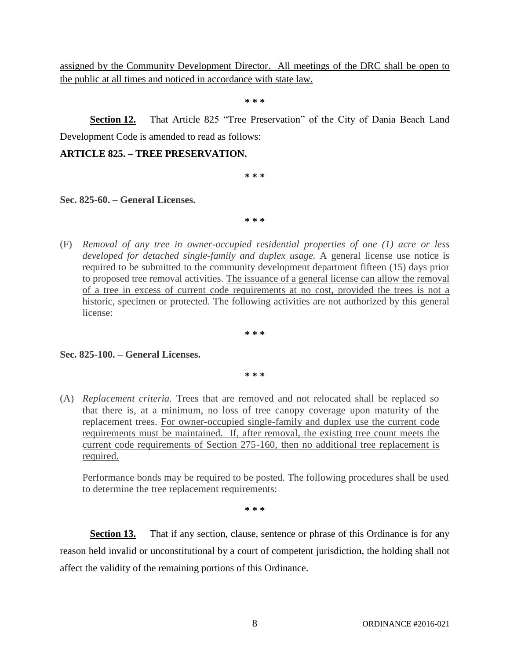assigned by the Community Development Director. All meetings of the DRC shall be open to the public at all times and noticed in accordance with state law.

**\* \* \***

**Section 12.** That Article 825 "Tree Preservation" of the City of Dania Beach Land Development Code is amended to read as follows:

### **ARTICLE 825. – TREE PRESERVATION.**

**\* \* \***

**Sec. 825-60. – General Licenses.**

**\* \* \***

(F) *Removal of any tree in owner-occupied residential properties of one (1) acre or less developed for detached single-family and duplex usage.* A general license use notice is required to be submitted to the community development department fifteen (15) days prior to proposed tree removal activities. The issuance of a general license can allow the removal of a tree in excess of current code requirements at no cost, provided the trees is not a historic, specimen or protected. The following activities are not authorized by this general license:

**\* \* \***

#### **Sec. 825-100. – General Licenses.**

**\* \* \***

(A) *Replacement criteria.* Trees that are removed and not relocated shall be replaced so that there is, at a minimum, no loss of tree canopy coverage upon maturity of the replacement trees. For owner-occupied single-family and duplex use the current code requirements must be maintained. If, after removal, the existing tree count meets the current code requirements of Section 275-160, then no additional tree replacement is required.

Performance bonds may be required to be posted. The following procedures shall be used to determine the tree replacement requirements:

**\* \* \***

**Section 13.** That if any section, clause, sentence or phrase of this Ordinance is for any reason held invalid or unconstitutional by a court of competent jurisdiction, the holding shall not affect the validity of the remaining portions of this Ordinance.